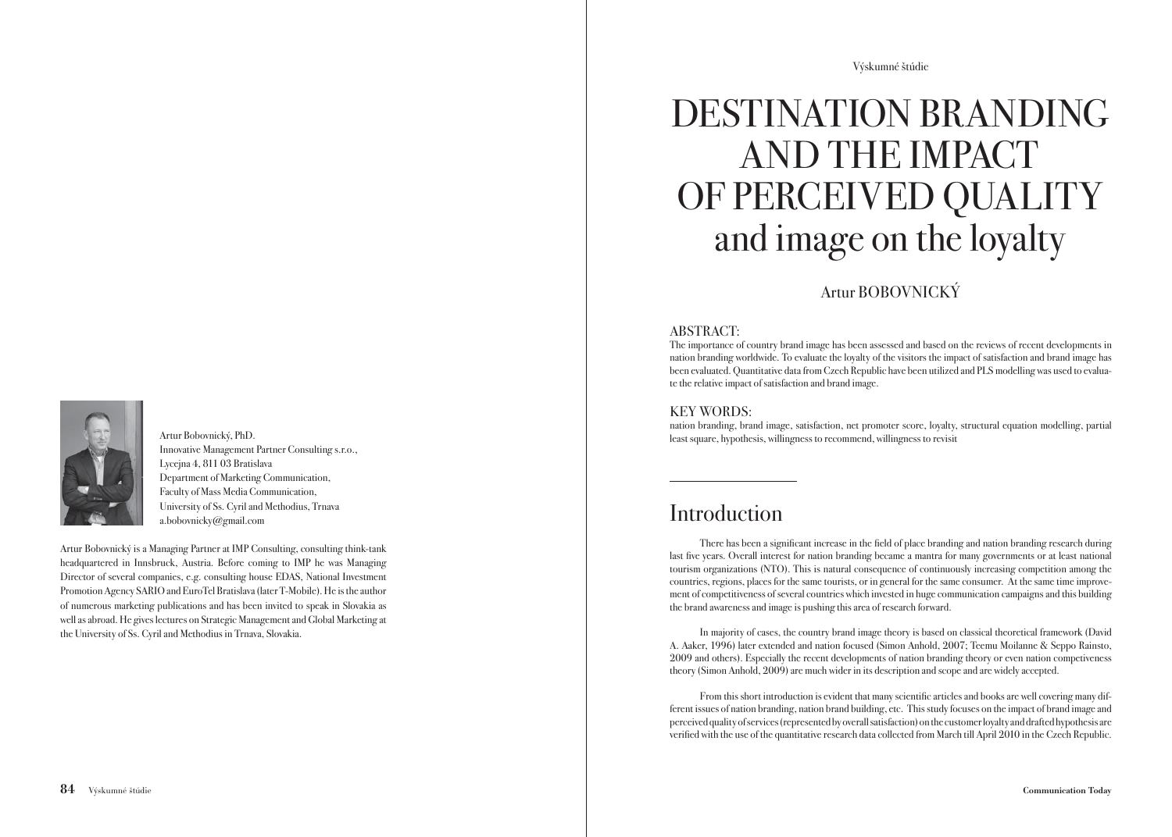

Artur Bobovnický, PhD. Innovative Management Partner Consulting s.r.o., Lycejna 4, 811 03 Bratislava Department of Marketing Communication, Faculty of Mass Media Communication, University of Ss. Cyril and Methodius, Trnava a.bobovnicky@gmail.com

Artur Bobovnický is a Managing Partner at IMP Consulting, consulting think-tank headquartered in Innsbruck, Austria. Before coming to IMP he was Managing Director of several companies, e.g. consulting house EDAS, National Investment Promotion Agency SARIO and EuroTel Bratislava (later T-Mobile). He is the author of numerous marketing publications and has been invited to speak in Slovakia as well as abroad. He gives lectures on Strategic Management and Global Marketing at the University of Ss. Cyril and Methodius in Trnava, Slovakia.

Výskumné štúdie

# DESTINATION BRANDING AND THE IMPACT OF PERCEIVED QUALITY and image on the loyalty

#### Artur BOBOVNICKÝ

#### ABSTRACT:

The importance of country brand image has been assessed and based on the reviews of recent developments in nation branding worldwide. To evaluate the loyalty of the visitors the impact of satisfaction and brand image has been evaluated. Quantitative data from Czech Republic have been utilized and PLS modelling was used to evaluate the relative impact of satisfaction and brand image.

#### KEY WORDS:

nation branding, brand image, satisfaction, net promoter score, loyalty, structural equation modelling, partial least square, hypothesis, willingness to recommend, willingness to revisit

## Introduction

There has been a significant increase in the field of place branding and nation branding research during last five years. Overall interest for nation branding became a mantra for many governments or at least national tourism organizations (NTO). This is natural consequence of continuously increasing competition among the countries, regions, places for the same tourists, or in general for the same consumer. At the same time improvement of competitiveness of several countries which invested in huge communication campaigns and this building the brand awareness and image is pushing this area of research forward.

 In majority of cases, the country brand image theory is based on classical theoretical framework (David A. Aaker, 1996) later extended and nation focused (Simon Anhold, 2007; Teemu Moilanne & Seppo Rainsto, 2009 and others). Especially the recent developments of nation branding theory or even nation competiveness theory (Simon Anhold, 2009) are much wider in its description and scope and are widely accepted.

From this short introduction is evident that many scientific articles and books are well covering many different issues of nation branding, nation brand building, etc. This study focuses on the impact of brand image and perceived quality of services (represented by overall satisfaction) on the customer loyalty and drafted hypothesis are verified with the use of the quantitative research data collected from March till April 2010 in the Czech Republic.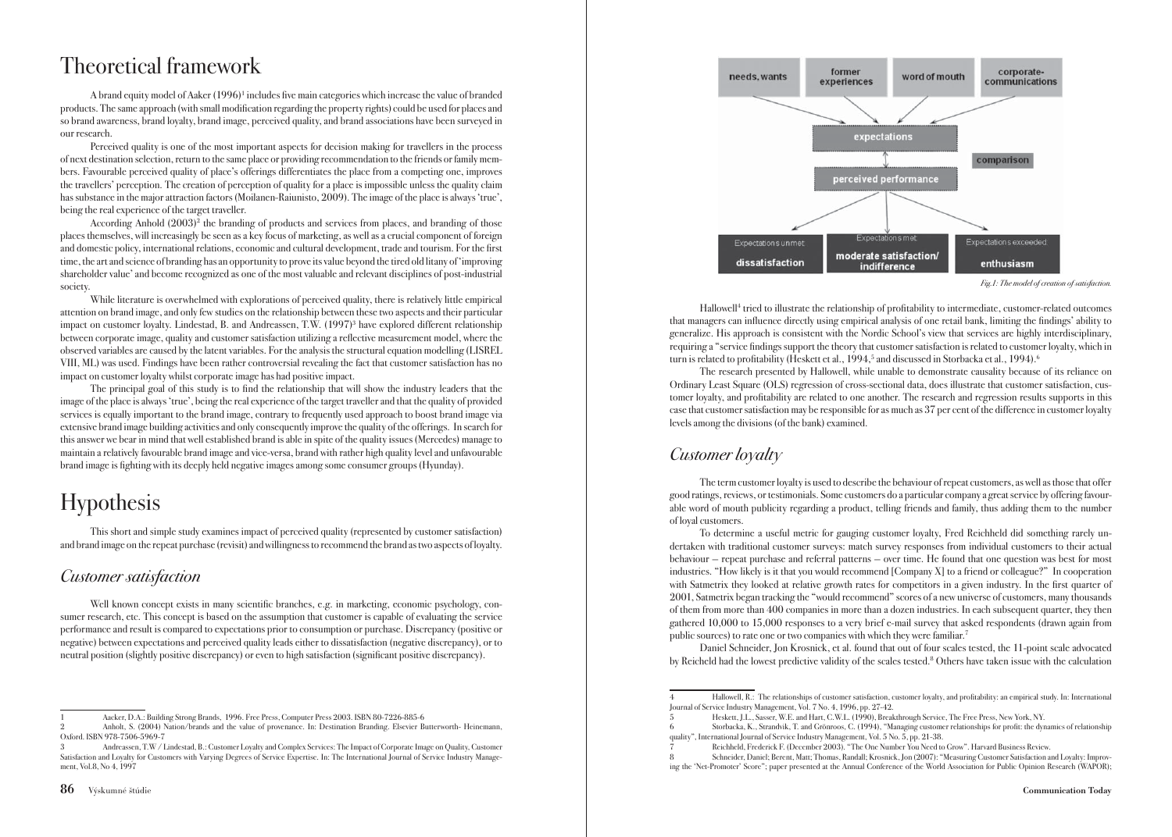## Theoretical framework

A brand equity model of Aaker (1996)<sup>1</sup> includes five main categories which increase the value of branded products. The same approach (with small modification regarding the property rights) could be used for places and so brand awareness, brand loyalty, brand image, perceived quality, and brand associations have been surveyed in our research.

 Perceived quality is one of the most important aspects for decision making for travellers in the process of next destination selection, return to the same place or providing recommendation to the friends or family members. Favourable perceived quality of place's offerings differentiates the place from a competing one, improves the travellers' perception. The creation of perception of quality for a place is impossible unless the quality claim has substance in the major attraction factors (Moilanen-Raiunisto, 2009). The image of the place is always 'true', being the real experience of the target traveller.

According Anhold  $(2003)^2$  the branding of products and services from places, and branding of those places themselves, will increasingly be seen as a key focus of marketing, as well as a crucial component of foreign and domestic policy, international relations, economic and cultural development, trade and tourism. For the first time, the art and science of branding has an opportunity to prove its value beyond the tired old litany of 'improving shareholder value' and become recognized as one of the most valuable and relevant disciplines of post-industrial society.

 While literature is overwhelmed with explorations of perceived quality, there is relatively little empirical attention on brand image, and only few studies on the relationship between these two aspects and their particular impact on customer loyalty. Lindestad, B. and Andreassen, T.W. (1997)<sup>3</sup> have explored different relationship between corporate image, quality and customer satisfaction utilizing a reflective measurement model, where the observed variables are caused by the latent variables. For the analysis the structural equation modelling (LISREL VIII, ML) was used. Findings have been rather controversial revealing the fact that customer satisfaction has no impact on customer loyalty whilst corporate image has had positive impact.

The principal goal of this study is to find the relationship that will show the industry leaders that the image of the place is always 'true', being the real experience of the target traveller and that the quality of provided services is equally important to the brand image, contrary to frequently used approach to boost brand image via extensive brand image building activities and only consequently improve the quality of the offerings. In search for this answer we bear in mind that well established brand is able in spite of the quality issues (Mercedes) manage to maintain a relatively favourable brand image and vice-versa, brand with rather high quality level and unfavourable brand image is fighting with its deeply held negative images among some consumer groups (Hyunday).

# Hypothesis

 This short and simple study examines impact of perceived quality (represented by customer satisfaction) and brand image on the repeat purchase (revisit) and willingness to recommend the brand as two aspects of loyalty.

#### Customer satisfaction

Well known concept exists in many scientific branches, e.g. in marketing, economic psychology, consumer research, etc. This concept is based on the assumption that customer is capable of evaluating the service performance and result is compared to expectations prior to consumption or purchase. Discrepancy (positive or negative) between expectations and perceived quality leads either to dissatisfaction (negative discrepancy), or to neutral position (slightly positive discrepancy) or even to high satisfaction (significant positive discrepancy).



Fig.1: The model of creation of satisfaction.

Hallowell<sup>4</sup> tried to illustrate the relationship of profitability to intermediate, customer-related outcomes that managers can influence directly using empirical analysis of one retail bank, limiting the findings' ability to generalize. His approach is consistent with the Nordic School's view that services are highly interdisciplinary, requiring a "service findings support the theory that customer satisfaction is related to customer loyalty, which in turn is related to profitability (Heskett et al., 1994,<sup>5</sup> and discussed in Storbacka et al., 1994).<sup>6</sup>

 The research presented by Hallowell, while unable to demonstrate causality because of its reliance on Ordinary Least Square (OLS) regression of cross-sectional data, does illustrate that customer satisfaction, customer loyalty, and profi tability are related to one another. The research and regression results supports in this case that customer satisfaction may be responsible for as much as 37 per cent of the difference in customer loyalty levels among the divisions (of the bank) examined.

#### Customer *loyalty*

 The term customer loyalty is used to describe the behaviour of repeat customers, as well as those that offer good ratings, reviews, or testimonials. Some customers do a particular company a great service by offering favourable word of mouth publicity regarding a product, telling friends and family, thus adding them to the number of loyal customers.

 To determine a useful metric for gauging customer loyalty, Fred Reichheld did something rarely undertaken with traditional customer surveys: match survey responses from individual customers to their actual behaviour — repeat purchase and referral patterns — over time. He found that one question was best for most industries. "How likely is it that you would recommend [Company X] to a friend or colleague?" In cooperation with Satmetrix they looked at relative growth rates for competitors in a given industry. In the first quarter of 2001, Satmetrix began tracking the "would recommend" scores of a new universe of customers, many thousands of them from more than 400 companies in more than a dozen industries. In each subsequent quarter, they then gathered 10,000 to 15,000 responses to a very brief e-mail survey that asked respondents (drawn again from public sources) to rate one or two companies with which they were familiar.7

 Daniel Schneider, Jon Krosnick, et al. found that out of four scales tested, the 11-point scale advocated by Reicheld had the lowest predictive validity of the scales tested.8 Others have taken issue with the calculation

<sup>1</sup> Aacker, D.A.: Building Strong Brands, 1996. Free Press, Computer Press 2003. ISBN 80-7226-885-6

Anholt, S. (2004) Nation/brands and the value of provenance. In: Destination Branding. Elsevier Butterworth- Heinemann Oxford. ISBN 978-7506-5969-7

<sup>3</sup> Andreassen, T.W / Lindestad, B.: Customer Loyalty and Complex Services: The Impact of Corporate Image on Quality, Customer Satisfaction and Loyalty for Customers with Varying Degrees of Service Expertise. In: The International Journal of Service Industry Management, Vol.8, No 4, 1997

Hallowell, R.: The relationships of customer satisfaction, customer loyalty, and profitability: an empirical study. In: International Journal of Service Industry Management, Vol. 7 No. 4, 1996, pp. 27-42.

<sup>5</sup> Heskett, J.L., Sasser, W.E. and Hart, C.W.L. (1990), Breakthrough Service, The Free Press, New York, NY.

<sup>6</sup> Storbacka, K., Strandvik, T. and Grönroos, C. (1994), "Managing customer relationships for profi t: the dynamics of relationship quality", International Journal of Service Industry Management, Vol. 5 No. 5, pp. 21-38.

<sup>7</sup> Reichheld, Frederick F. (December 2003). "The One Number You Need to Grow". Harvard Business Review.

<sup>8</sup> Schneider, Daniel; Berent, Matt; Thomas, Randall; Krosnick, Jon (2007): "Measuring Customer Satisfaction and Loyalty: Improving the 'Net-Promoter' Score"; paper presented at the Annual Conference of the World Association for Public Opinion Research (WAPOR);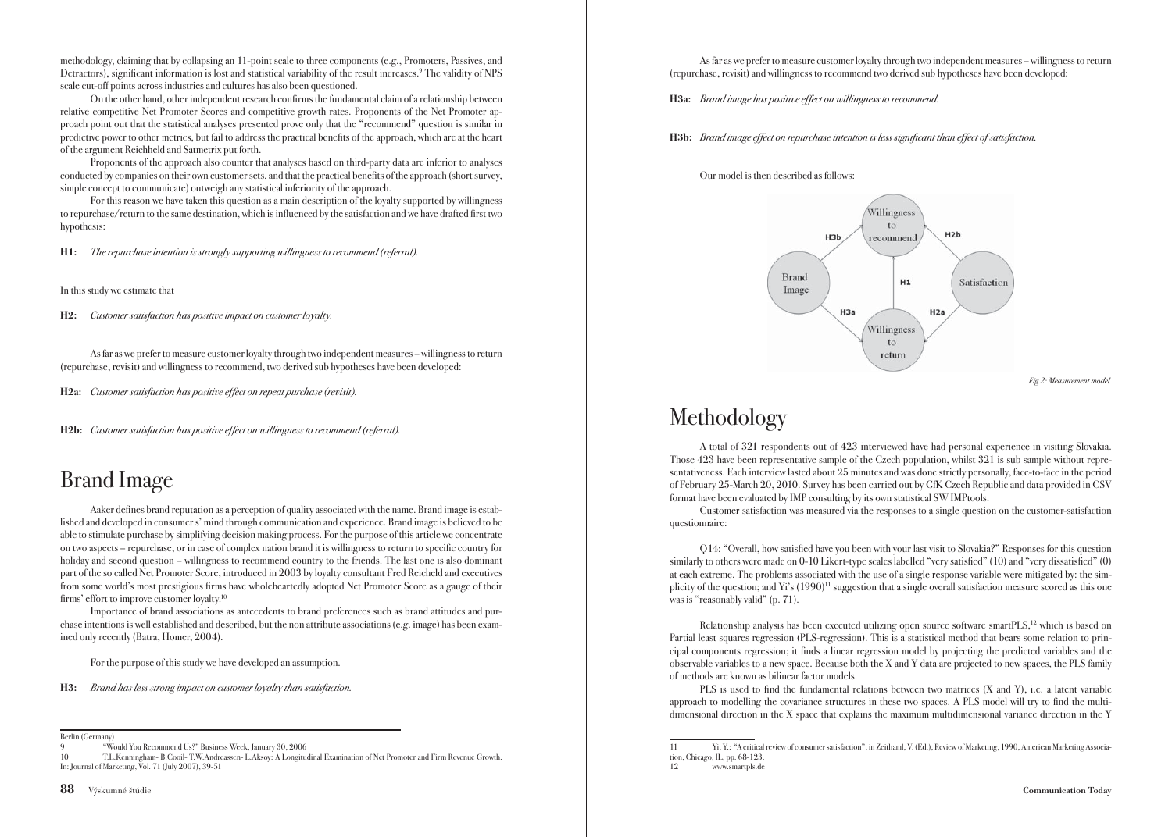methodology, claiming that by collapsing an 11-point scale to three components (e.g., Promoters, Passives, and Detractors), significant information is lost and statistical variability of the result increases.<sup>9</sup> The validity of NPS scale cut-off points across industries and cultures has also been questioned.

On the other hand, other independent research confirms the fundamental claim of a relationship between relative competitive Net Promoter Scores and competitive growth rates. Proponents of the Net Promoter approach point out that the statistical analyses presented prove only that the "recommend" question is similar in predictive power to other metrics, but fail to address the practical benefits of the approach, which are at the heart of the argument Reichheld and Satmetrix put forth.

 Proponents of the approach also counter that analyses based on third-party data are inferior to analyses conducted by companies on their own customer sets, and that the practical benefits of the approach (short survey, simple concept to communicate) outweigh any statistical inferiority of the approach.

 For this reason we have taken this question as a main description of the loyalty supported by willingness to repurchase/return to the same destination, which is influenced by the satisfaction and we have drafted first two hypothesis:

H1: The repurchase intention is strongly supporting willingness to recommend (referral).

In this study we estimate that

H2: Customer satisfaction has positive impact on customer loyalty.

 As far as we prefer to measure customer loyalty through two independent measures – willingness to return (repurchase, revisit) and willingness to recommend, two derived sub hypotheses have been developed:

H2a: Customer satisfaction has positive effect on repeat purchase (revisit).

H2b: Customer satisfaction has positive effect on willingness to recommend (referral).

# Brand Image

Aaker defines brand reputation as a perception of quality associated with the name. Brand image is established and developed in consumer s' mind through communication and experience. Brand image is believed to be able to stimulate purchase by simplifying decision making process. For the purpose of this article we concentrate on two aspects – repurchase, or in case of complex nation brand it is willingness to return to specific country for holiday and second question – willingness to recommend country to the friends. The last one is also dominant part of the so called Net Promoter Score, introduced in 2003 by loyalty consultant Fred Reicheld and executives from some world's most prestigious firms have wholeheartedly adopted Net Promoter Score as a gauge of their firms' effort to improve customer loyalty.<sup>10</sup>

 Importance of brand associations as antecedents to brand preferences such as brand attitudes and purchase intentions is well established and described, but the non attribute associations (e.g. image) has been examined only recently (Batra, Homer, 2004).

For the purpose of this study we have developed an assumption.

H3: Brand has less strong impact on customer loyalty than satisfaction.

 As far as we prefer to measure customer loyalty through two independent measures – willingness to return (repurchase, revisit) and willingness to recommend two derived sub hypotheses have been developed:

H3a: Brand image has positive effect on willingness to recommend.

H3b: Brand image effect on repurchase intention is less significant than effect of satisfaction.

Our model is then described as follows:



Fig.2: Measurement model.

# Methodology

 A total of 321 respondents out of 423 interviewed have had personal experience in visiting Slovakia. Those 423 have been representative sample of the Czech population, whilst 321 is sub sample without representativeness. Each interview lasted about 25 minutes and was done strictly personally, face-to-face in the period of February 25-March 20, 2010. Survey has been carried out by GfK Czech Republic and data provided in CSV format have been evaluated by IMP consulting by its own statistical SW IMPtools.

 Customer satisfaction was measured via the responses to a single question on the customer-satisfaction questionnaire:

Q14: "Overall, how satisfied have you been with your last visit to Slovakia?" Responses for this question similarly to others were made on  $0-10$  Likert-type scales labelled "very satisfied" (10) and "very dissatisfied" (0) at each extreme. The problems associated with the use of a single response variable were mitigated by: the simplicity of the question; and Yi's  $(1990)^{11}$  suggestion that a single overall satisfaction measure scored as this one was is "reasonably valid" (p. 71).

Relationship analysis has been executed utilizing open source software smartPLS,<sup>12</sup> which is based on Partial least squares regression (PLS-regression). This is a statistical method that bears some relation to principal components regression; it finds a linear regression model by projecting the predicted variables and the observable variables to a new space. Because both the X and Y data are projected to new spaces, the PLS family of methods are known as bilinear factor models.

PLS is used to find the fundamental relations between two matrices  $(X \text{ and } Y)$ , i.e. a latent variable approach to modelling the covariance structures in these two spaces. A PLS model will try to find the multidimensional direction in the X space that explains the maximum multidimensional variance direction in the Y

Berlin (Germany)

<sup>9 &</sup>quot;Would You Recommend Us?" Business Week, January 30, 2006

<sup>10</sup> T.L.Kenningham- B.Cooil- T.W.Andreassen- L.Aksoy: A Longitudinal Examination of Net Promoter and Firm Revenue Growth. In: Journal of Marketing, Vol. 71 (July 2007), 39-51

<sup>11</sup> Yi, Y.: "A critical review of consumer satisfaction", in Zeithaml, V. (Ed.), Review of Marketing, 1990, American Marketing Association, Chicago, IL, pp. 68-123.

www.smartpls.de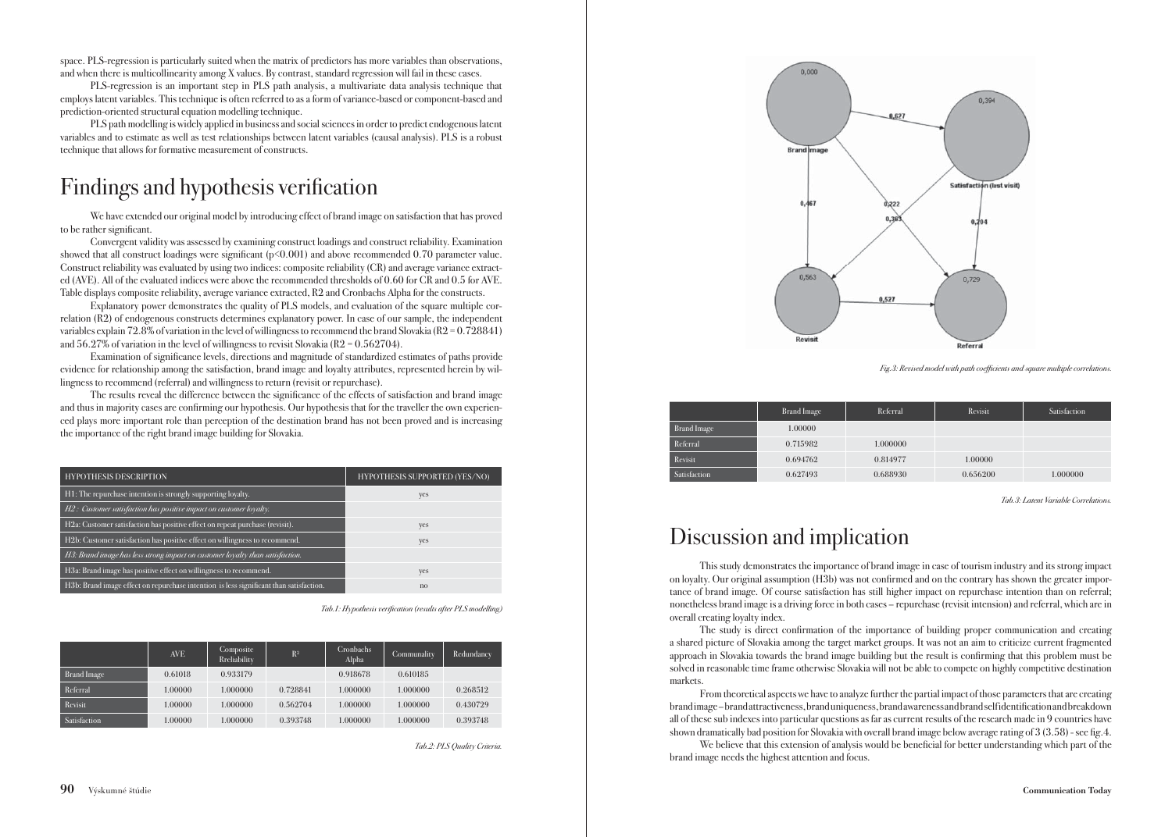space. PLS-regression is particularly suited when the matrix of predictors has more variables than observations, and when there is multicollinearity among X values. By contrast, standard regression will fail in these cases.

 PLS-regression is an important step in PLS path analysis, a multivariate data analysis technique that employs latent variables. This technique is often referred to as a form of variance-based or component-based and prediction-oriented structural equation modelling technique.

 PLS path modelling is widely applied in business and social sciences in order to predict endogenous latent variables and to estimate as well as test relationships between latent variables (causal analysis). PLS is a robust technique that allows for formative measurement of constructs.

# Findings and hypothesis verification

 We have extended our original model by introducing effect of brand image on satisfaction that has proved to be rather significant.

 Convergent validity was assessed by examining construct loadings and construct reliability. Examination showed that all construct loadings were significant  $(p<0.001)$  and above recommended 0.70 parameter value. Construct reliability was evaluated by using two indices: composite reliability (CR) and average variance extracted (AVE). All of the evaluated indices were above the recommended thresholds of 0.60 for CR and 0.5 for AVE. Table displays composite reliability, average variance extracted, R2 and Cronbachs Alpha for the constructs.

 Explanatory power demonstrates the quality of PLS models, and evaluation of the square multiple correlation (R2) of endogenous constructs determines explanatory power. In case of our sample, the independent variables explain 72.8% of variation in the level of willingness to recommend the brand Slovakia (R2 = 0.728841) and  $56.27\%$  of variation in the level of willingness to revisit Slovakia (R2 = 0.562704).

Examination of significance levels, directions and magnitude of standardized estimates of paths provide evidence for relationship among the satisfaction, brand image and loyalty attributes, represented herein by willingness to recommend (referral) and willingness to return (revisit or repurchase).

The results reveal the difference between the significance of the effects of satisfaction and brand image and thus in majority cases are confirming our hypothesis. Our hypothesis that for the traveller the own experienced plays more important role than perception of the destination brand has not been proved and is increasing the importance of the right brand image building for Slovakia.

| <b>HYPOTHESIS DESCRIPTION</b>                                                          | <b>HYPOTHESIS SUPPORTED (YES/NO)</b> |
|----------------------------------------------------------------------------------------|--------------------------------------|
| H1: The repurchase intention is strongly supporting loyalty.                           | yes                                  |
| H2: Customer satisfaction has positive impact on customer loyalty.                     |                                      |
| H2a: Customer satisfaction has positive effect on repeat purchase (revisit).           | yes                                  |
| H2b: Customer satisfaction has positive effect on willingness to recommend.            | yes                                  |
| H3: Brand image has less strong impact on customer loyalty than satisfaction.          |                                      |
| H3a: Brand image has positive effect on willingness to recommend.                      | yes                                  |
| H3b: Brand image effect on repurchase intention is less significant than satisfaction. | n <sub>0</sub>                       |

Tab.1: Hypothesis verification (results after PLS modelling)

|              | <b>AVE</b> | Composite<br>Rreliability | R <sup>2</sup> | Cronbachs<br>Alpha | Communality | Redundancy |
|--------------|------------|---------------------------|----------------|--------------------|-------------|------------|
| Brand Image  | 0.61018    | 0.933179                  |                | 0.918678           | 0.610185    |            |
| Referral     | 1.00000    | 1.000000                  | 0.728841       | 1.000000           | 1.000000    | 0.268512   |
| Revisit      | 1.00000    | 1.000000                  | 0.562704       | 1.000000           | 1.000000    | 0.430729   |
| Satisfaction | 1.00000    | 1.000000                  | 0.393748       | 1.000000           | 1.000000    | 0.393748   |

Tab.2: PLS Quality Criteria.



Fig.3: Revised model with path coefficients and square multiple correlations.

|              | <b>Brand Image</b> | Referral | Revisit  | Satisfaction |
|--------------|--------------------|----------|----------|--------------|
| Brand Image  | 1.00000            |          |          |              |
| Referral     | 0.715982           | 1.000000 |          |              |
| Revisit      | 0.694762           | 0.814977 | 1.00000  |              |
| Satisfaction | 0.627493           | 0.688930 | 0.656200 | 1.000000     |

Tab.3: Latent Variable Correlations.

### Discussion and implication

 This study demonstrates the importance of brand image in case of tourism industry and its strong impact on loyalty. Our original assumption (H3b) was not confirmed and on the contrary has shown the greater importance of brand image. Of course satisfaction has still higher impact on repurchase intention than on referral; nonetheless brand image is a driving force in both cases – repurchase (revisit intension) and referral, which are in overall creating loyalty index.

The study is direct confirmation of the importance of building proper communication and creating a shared picture of Slovakia among the target market groups. It was not an aim to criticize current fragmented approach in Slovakia towards the brand image building but the result is confirming that this problem must be solved in reasonable time frame otherwise Slovakia will not be able to compete on highly competitive destination markets.

 From theoretical aspects we have to analyze further the partial impact of those parameters that are creating brand image – brand attractiveness, brand uniqueness, brand awareness and brand self identifi cation and breakdown all of these sub indexes into particular questions as far as current results of the research made in 9 countries have shown dramatically bad position for Slovakia with overall brand image below average rating of  $3(3.58)$  - see fig. 4.

We believe that this extension of analysis would be beneficial for better understanding which part of the brand image needs the highest attention and focus.